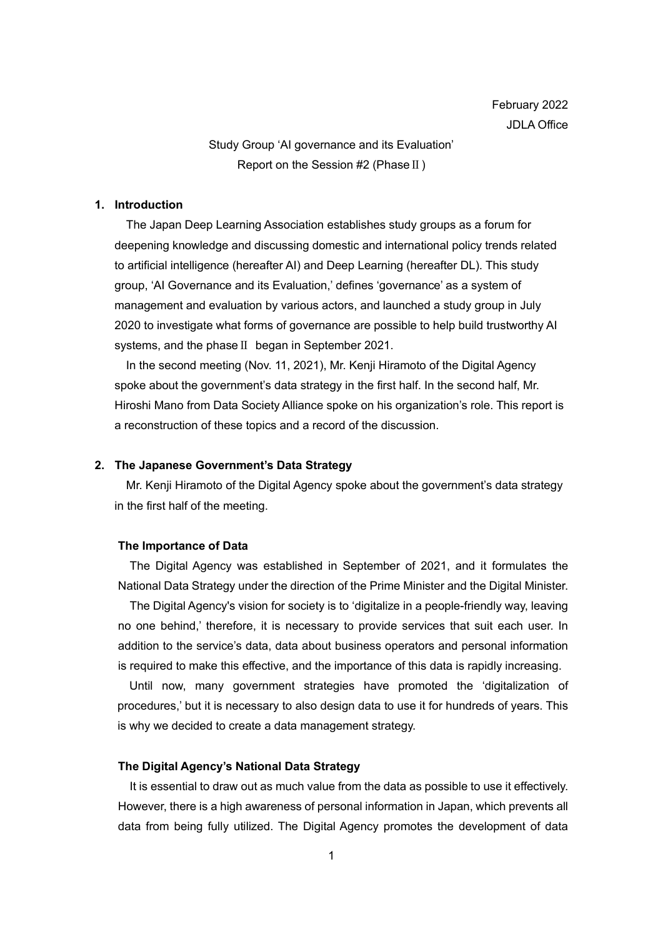# Study Group 'AI governance and its Evaluation' Report on the Session #2 (PhaseⅡ)

# **1. Introduction**

The Japan Deep Learning Association establishes study groups as a forum for deepening knowledge and discussing domestic and international policy trends related to artificial intelligence (hereafter AI) and Deep Learning (hereafter DL). This study group, 'AI Governance and its Evaluation,' defines 'governance' as a system of management and evaluation by various actors, and launched a study group in July 2020 to investigate what forms of governance are possible to help build trustworthy AI systems, and the phase Ⅱ began in September 2021.

In the second meeting (Nov. 11, 2021), Mr. Kenji Hiramoto of the Digital Agency spoke about the government's data strategy in the first half. In the second half, Mr. Hiroshi Mano from Data Society Alliance spoke on his organization's role. This report is a reconstruction of these topics and a record of the discussion.

### **2. The Japanese Government's Data Strategy**

Mr. Kenji Hiramoto of the Digital Agency spoke about the government's data strategy in the first half of the meeting.

#### **The Importance of Data**

The Digital Agency was established in September of 2021, and it formulates the National Data Strategy under the direction of the Prime Minister and the Digital Minister.

The Digital Agency's vision for society is to 'digitalize in a people-friendly way, leaving no one behind,' therefore, it is necessary to provide services that suit each user. In addition to the service's data, data about business operators and personal information is required to make this effective, and the importance of this data is rapidly increasing.

Until now, many government strategies have promoted the 'digitalization of procedures,' but it is necessary to also design data to use it for hundreds of years. This is why we decided to create a data management strategy.

#### **The Digital Agency's National Data Strategy**

It is essential to draw out as much value from the data as possible to use it effectively. However, there is a high awareness of personal information in Japan, which prevents all data from being fully utilized. The Digital Agency promotes the development of data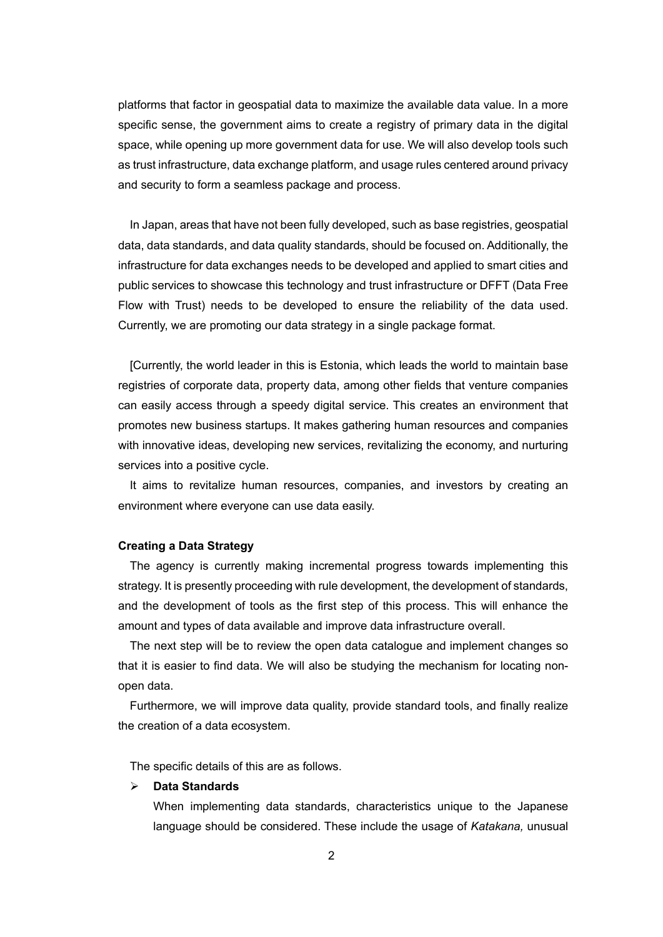platforms that factor in geospatial data to maximize the available data value. In a more specific sense, the government aims to create a registry of primary data in the digital space, while opening up more government data for use. We will also develop tools such as trust infrastructure, data exchange platform, and usage rules centered around privacy and security to form a seamless package and process.

In Japan, areas that have not been fully developed, such as base registries, geospatial data, data standards, and data quality standards, should be focused on. Additionally, the infrastructure for data exchanges needs to be developed and applied to smart cities and public services to showcase this technology and trust infrastructure or DFFT (Data Free Flow with Trust) needs to be developed to ensure the reliability of the data used. Currently, we are promoting our data strategy in a single package format.

[Currently, the world leader in this is Estonia, which leads the world to maintain base registries of corporate data, property data, among other fields that venture companies can easily access through a speedy digital service. This creates an environment that promotes new business startups. It makes gathering human resources and companies with innovative ideas, developing new services, revitalizing the economy, and nurturing services into a positive cycle.

It aims to revitalize human resources, companies, and investors by creating an environment where everyone can use data easily.

#### **Creating a Data Strategy**

The agency is currently making incremental progress towards implementing this strategy. It is presently proceeding with rule development, the development of standards, and the development of tools as the first step of this process. This will enhance the amount and types of data available and improve data infrastructure overall.

The next step will be to review the open data catalogue and implement changes so that it is easier to find data. We will also be studying the mechanism for locating nonopen data.

Furthermore, we will improve data quality, provide standard tools, and finally realize the creation of a data ecosystem.

The specific details of this are as follows.

### **Data Standards**

When implementing data standards, characteristics unique to the Japanese language should be considered. These include the usage of *Katakana,* unusual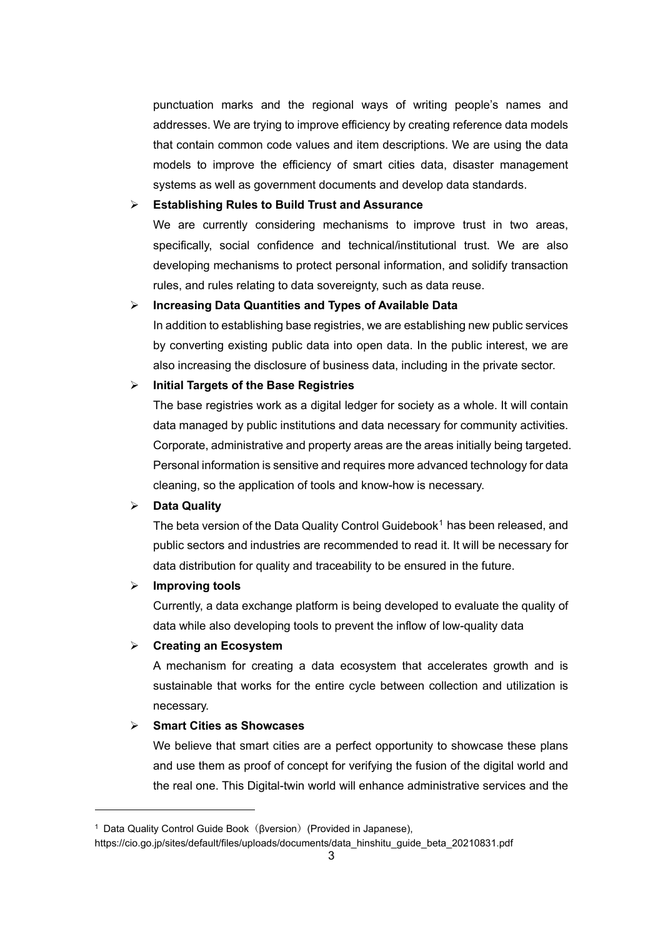punctuation marks and the regional ways of writing people's names and addresses. We are trying to improve efficiency by creating reference data models that contain common code values and item descriptions. We are using the data models to improve the efficiency of smart cities data, disaster management systems as well as government documents and develop data standards.

# **Establishing Rules to Build Trust and Assurance**

We are currently considering mechanisms to improve trust in two areas, specifically, social confidence and technical/institutional trust. We are also developing mechanisms to protect personal information, and solidify transaction rules, and rules relating to data sovereignty, such as data reuse.

### **Increasing Data Quantities and Types of Available Data**

In addition to establishing base registries, we are establishing new public services by converting existing public data into open data. In the public interest, we are also increasing the disclosure of business data, including in the private sector.

# **Initial Targets of the Base Registries**

The base registries work as a digital ledger for society as a whole. It will contain data managed by public institutions and data necessary for community activities. Corporate, administrative and property areas are the areas initially being targeted. Personal information is sensitive and requires more advanced technology for data cleaning, so the application of tools and know-how is necessary.

# **Data Quality**

The beta version of the Data Quality Control Guidebook<sup>[1](#page-2-0)</sup> has been released, and public sectors and industries are recommended to read it. It will be necessary for data distribution for quality and traceability to be ensured in the future.

# **Improving tools**

Currently, a data exchange platform is being developed to evaluate the quality of data while also developing tools to prevent the inflow of low-quality data

#### **Creating an Ecosystem**

A mechanism for creating a data ecosystem that accelerates growth and is sustainable that works for the entire cycle between collection and utilization is necessary.

# **Smart Cities as Showcases**

We believe that smart cities are a perfect opportunity to showcase these plans and use them as proof of concept for verifying the fusion of the digital world and the real one. This Digital-twin world will enhance administrative services and the

<span id="page-2-0"></span><sup>&</sup>lt;sup>1</sup> Data Quality Control Guide Book (βversion) (Provided in Japanese),

https://cio.go.jp/sites/default/files/uploads/documents/data\_hinshitu\_guide\_beta\_20210831.pdf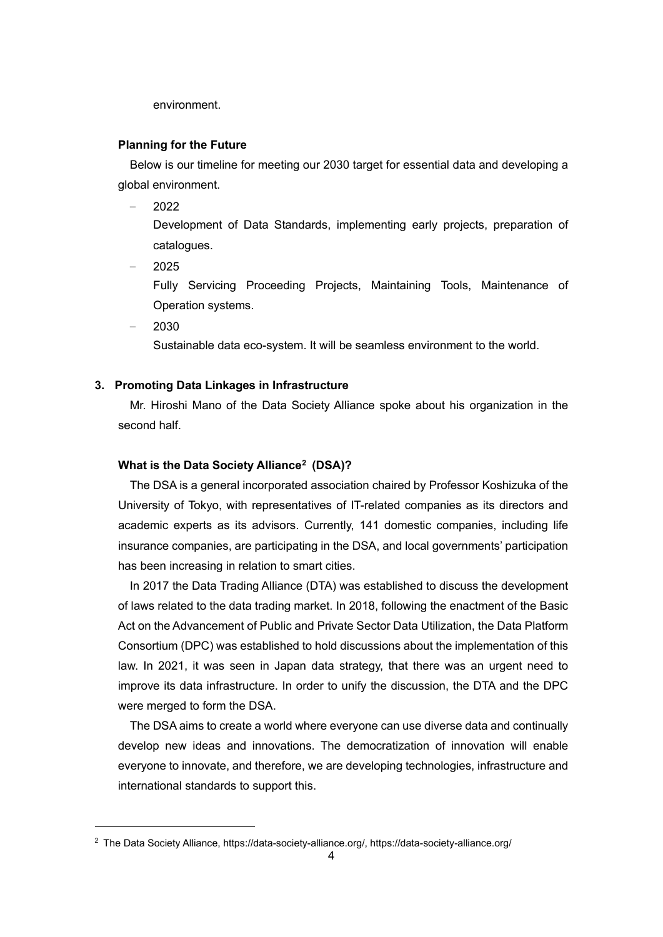environment.

#### **Planning for the Future**

Below is our timeline for meeting our 2030 target for essential data and developing a global environment.

‒ 2022

Development of Data Standards, implementing early projects, preparation of catalogues.

‒ 2025

Fully Servicing Proceeding Projects, Maintaining Tools, Maintenance of Operation systems.

‒ 2030

Sustainable data eco-system. It will be seamless environment to the world.

# **3. Promoting Data Linkages in Infrastructure**

Mr. Hiroshi Mano of the Data Society Alliance spoke about his organization in the second half.

#### **What is the Data Society Alliance[2](#page-3-0) (DSA)?**

The DSA is a general incorporated association chaired by Professor Koshizuka of the University of Tokyo, with representatives of IT-related companies as its directors and academic experts as its advisors. Currently, 141 domestic companies, including life insurance companies, are participating in the DSA, and local governments' participation has been increasing in relation to smart cities.

In 2017 the Data Trading Alliance (DTA) was established to discuss the development of laws related to the data trading market. In 2018, following the enactment of the Basic Act on the Advancement of Public and Private Sector Data Utilization, the Data Platform Consortium (DPC) was established to hold discussions about the implementation of this law. In 2021, it was seen in Japan data strategy, that there was an urgent need to improve its data infrastructure. In order to unify the discussion, the DTA and the DPC were merged to form the DSA.

The DSA aims to create a world where everyone can use diverse data and continually develop new ideas and innovations. The democratization of innovation will enable everyone to innovate, and therefore, we are developing technologies, infrastructure and international standards to support this.

<span id="page-3-0"></span><sup>&</sup>lt;sup>2</sup> The Data Society Alliance, https://data-society-alliance.org/, https://data-society-alliance.org/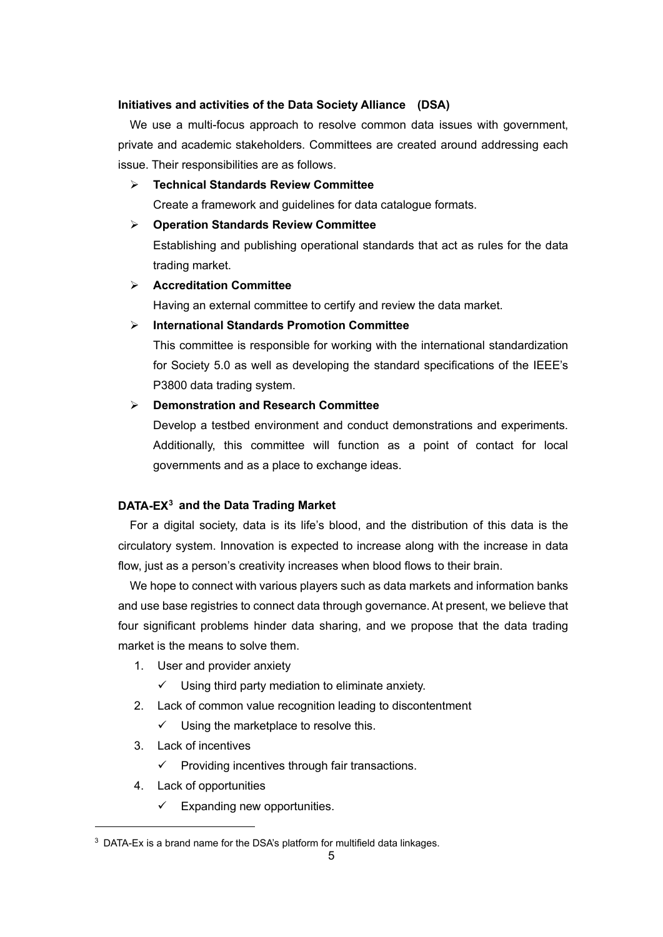### **Initiatives and activities of the Data Society Alliance (DSA)**

We use a multi-focus approach to resolve common data issues with government, private and academic stakeholders. Committees are created around addressing each issue. Their responsibilities are as follows.

# **Technical Standards Review Committee**

Create a framework and guidelines for data catalogue formats.

# **Operation Standards Review Committee**

Establishing and publishing operational standards that act as rules for the data trading market.

# **Accreditation Committee**

Having an external committee to certify and review the data market.

# **International Standards Promotion Committee**

This committee is responsible for working with the international standardization for Society 5.0 as well as developing the standard specifications of the IEEE's P3800 data trading system.

# **Demonstration and Research Committee**

Develop a testbed environment and conduct demonstrations and experiments. Additionally, this committee will function as a point of contact for local governments and as a place to exchange ideas.

# **DATA-EX[3](#page-4-0) and the Data Trading Market**

For a digital society, data is its life's blood, and the distribution of this data is the circulatory system. Innovation is expected to increase along with the increase in data flow, just as a person's creativity increases when blood flows to their brain.

We hope to connect with various players such as data markets and information banks and use base registries to connect data through governance. At present, we believe that four significant problems hinder data sharing, and we propose that the data trading market is the means to solve them.

- 1. User and provider anxiety
	- $\checkmark$  Using third party mediation to eliminate anxiety.
- 2. Lack of common value recognition leading to discontentment
	- $\checkmark$  Using the marketplace to resolve this.
- 3. Lack of incentives
	- $\checkmark$  Providing incentives through fair transactions.
- 4. Lack of opportunities
	- $\checkmark$  Expanding new opportunities.

<span id="page-4-0"></span> $3$  DATA-Ex is a brand name for the DSA's platform for multifield data linkages.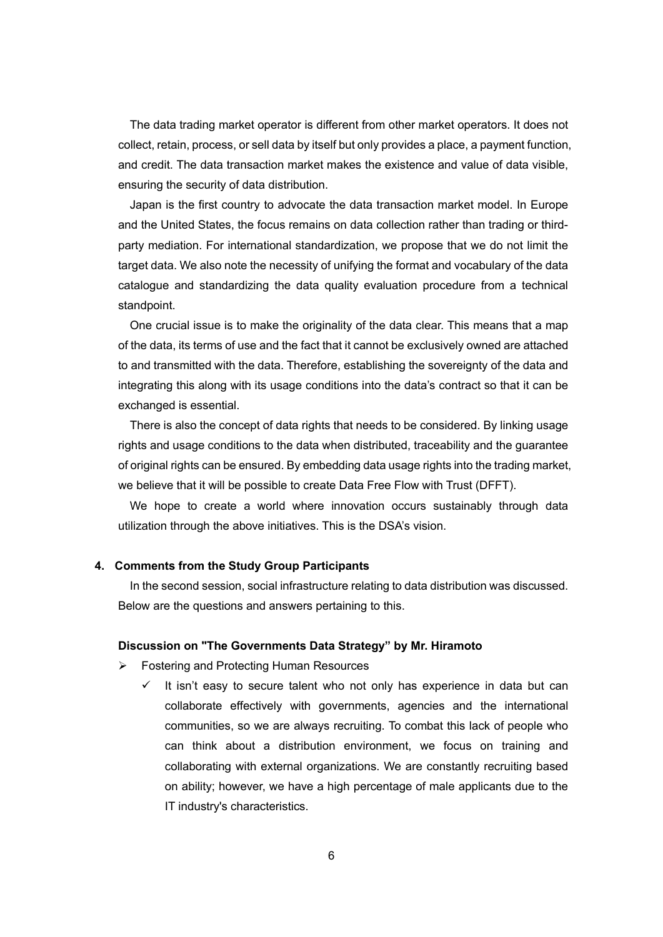The data trading market operator is different from other market operators. It does not collect, retain, process, or sell data by itself but only provides a place, a payment function, and credit. The data transaction market makes the existence and value of data visible, ensuring the security of data distribution.

Japan is the first country to advocate the data transaction market model. In Europe and the United States, the focus remains on data collection rather than trading or thirdparty mediation. For international standardization, we propose that we do not limit the target data. We also note the necessity of unifying the format and vocabulary of the data catalogue and standardizing the data quality evaluation procedure from a technical standpoint.

One crucial issue is to make the originality of the data clear. This means that a map of the data, its terms of use and the fact that it cannot be exclusively owned are attached to and transmitted with the data. Therefore, establishing the sovereignty of the data and integrating this along with its usage conditions into the data's contract so that it can be exchanged is essential.

There is also the concept of data rights that needs to be considered. By linking usage rights and usage conditions to the data when distributed, traceability and the guarantee of original rights can be ensured. By embedding data usage rights into the trading market, we believe that it will be possible to create Data Free Flow with Trust (DFFT).

We hope to create a world where innovation occurs sustainably through data utilization through the above initiatives. This is the DSA's vision.

### **4. Comments from the Study Group Participants**

In the second session, social infrastructure relating to data distribution was discussed. Below are the questions and answers pertaining to this.

#### **Discussion on "The Governments Data Strategy" by Mr. Hiramoto**

- Fostering and Protecting Human Resources
	- $\checkmark$  It isn't easy to secure talent who not only has experience in data but can collaborate effectively with governments, agencies and the international communities, so we are always recruiting. To combat this lack of people who can think about a distribution environment, we focus on training and collaborating with external organizations. We are constantly recruiting based on ability; however, we have a high percentage of male applicants due to the IT industry's characteristics.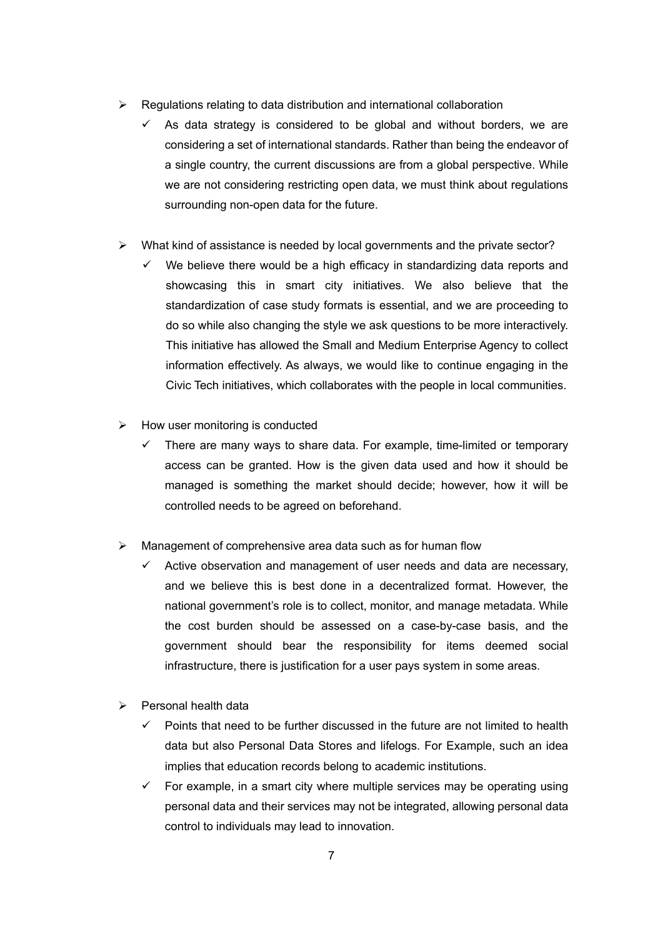- $\triangleright$  Regulations relating to data distribution and international collaboration
	- As data strategy is considered to be global and without borders, we are considering a set of international standards. Rather than being the endeavor of a single country, the current discussions are from a global perspective. While we are not considering restricting open data, we must think about regulations surrounding non-open data for the future.
- $\triangleright$  What kind of assistance is needed by local governments and the private sector?
	- $\checkmark$  We believe there would be a high efficacy in standardizing data reports and showcasing this in smart city initiatives. We also believe that the standardization of case study formats is essential, and we are proceeding to do so while also changing the style we ask questions to be more interactively. This initiative has allowed the Small and Medium Enterprise Agency to collect information effectively. As always, we would like to continue engaging in the Civic Tech initiatives, which collaborates with the people in local communities.
- $\triangleright$  How user monitoring is conducted
	- $\checkmark$  There are many ways to share data. For example, time-limited or temporary access can be granted. How is the given data used and how it should be managed is something the market should decide; however, how it will be controlled needs to be agreed on beforehand.
- $\triangleright$  Management of comprehensive area data such as for human flow
	- Active observation and management of user needs and data are necessary, and we believe this is best done in a decentralized format. However, the national government's role is to collect, monitor, and manage metadata. While the cost burden should be assessed on a case-by-case basis, and the government should bear the responsibility for items deemed social infrastructure, there is justification for a user pays system in some areas.
- $\triangleright$  Personal health data
	- $\checkmark$  Points that need to be further discussed in the future are not limited to health data but also Personal Data Stores and lifelogs. For Example, such an idea implies that education records belong to academic institutions.
	- $\checkmark$  For example, in a smart city where multiple services may be operating using personal data and their services may not be integrated, allowing personal data control to individuals may lead to innovation.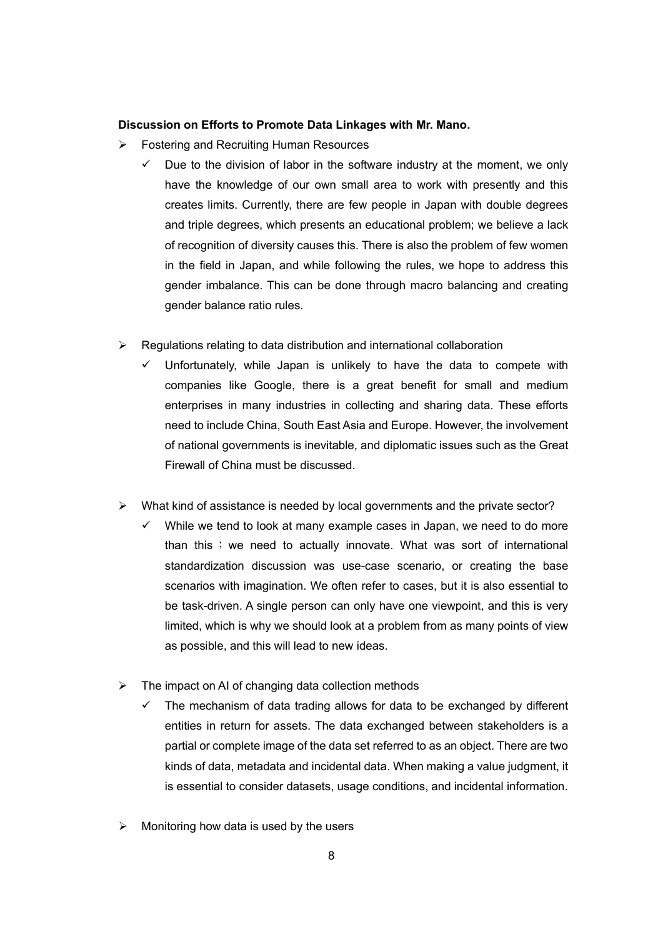#### **Discussion on Efforts to Promote Data Linkages with Mr. Mano.**

- Fostering and Recruiting Human Resources
	- $\checkmark$  Due to the division of labor in the software industry at the moment, we only have the knowledge of our own small area to work with presently and this creates limits. Currently, there are few people in Japan with double degrees and triple degrees, which presents an educational problem; we believe a lack of recognition of diversity causes this. There is also the problem of few women in the field in Japan, and while following the rules, we hope to address this gender imbalance. This can be done through macro balancing and creating gender balance ratio rules.
- $\triangleright$  Regulations relating to data distribution and international collaboration
	- Unfortunately, while Japan is unlikely to have the data to compete with companies like Google, there is a great benefit for small and medium enterprises in many industries in collecting and sharing data. These efforts need to include China, South East Asia and Europe. However, the involvement of national governments is inevitable, and diplomatic issues such as the Great Firewall of China must be discussed.
- $\triangleright$  What kind of assistance is needed by local governments and the private sector?
	- $\checkmark$  While we tend to look at many example cases in Japan, we need to do more than this ; we need to actually innovate. What was sort of international standardization discussion was use-case scenario, or creating the base scenarios with imagination. We often refer to cases, but it is also essential to be task-driven. A single person can only have one viewpoint, and this is very limited, which is why we should look at a problem from as many points of view as possible, and this will lead to new ideas.
- $\triangleright$  The impact on AI of changing data collection methods
	- $\checkmark$  The mechanism of data trading allows for data to be exchanged by different entities in return for assets. The data exchanged between stakeholders is a partial or complete image of the data set referred to as an object. There are two kinds of data, metadata and incidental data. When making a value judgment, it is essential to consider datasets, usage conditions, and incidental information.
- Monitoring how data is used by the users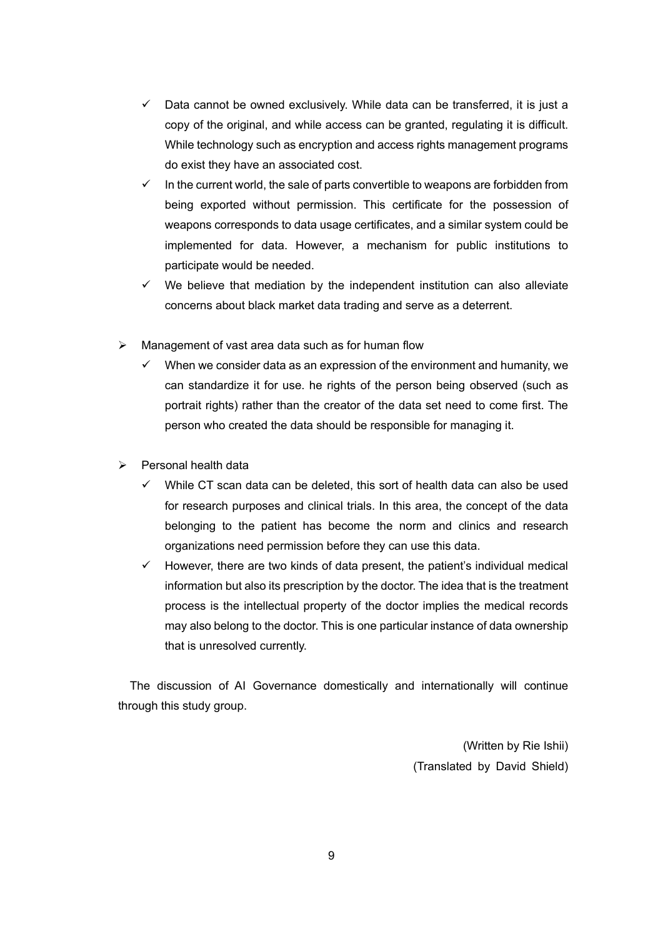- $\checkmark$  Data cannot be owned exclusively. While data can be transferred, it is just a copy of the original, and while access can be granted, regulating it is difficult. While technology such as encryption and access rights management programs do exist they have an associated cost.
- In the current world, the sale of parts convertible to weapons are forbidden from being exported without permission. This certificate for the possession of weapons corresponds to data usage certificates, and a similar system could be implemented for data. However, a mechanism for public institutions to participate would be needed.
- $\checkmark$  We believe that mediation by the independent institution can also alleviate concerns about black market data trading and serve as a deterrent.
- $\triangleright$  Management of vast area data such as for human flow
	- When we consider data as an expression of the environment and humanity, we can standardize it for use. he rights of the person being observed (such as portrait rights) rather than the creator of the data set need to come first. The person who created the data should be responsible for managing it.
- Personal health data
	- While CT scan data can be deleted, this sort of health data can also be used for research purposes and clinical trials. In this area, the concept of the data belonging to the patient has become the norm and clinics and research organizations need permission before they can use this data.
	- However, there are two kinds of data present, the patient's individual medical information but also its prescription by the doctor. The idea that is the treatment process is the intellectual property of the doctor implies the medical records may also belong to the doctor. This is one particular instance of data ownership that is unresolved currently.

The discussion of AI Governance domestically and internationally will continue through this study group.

> (Written by Rie Ishii) (Translated by David Shield)